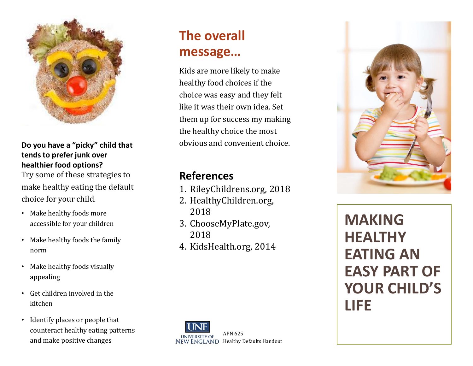

## **Do you have a "picky" child that tends to prefer junk over healthier food options?**

Try some of these strategies to make healthy eating the default choice for your child.

- Make healthy foods more accessible for your children
- Make healthy foods the family norm
- Make healthy foods visually appealing
- Get children involved in the kitchen
- Identify places or people that counteract healthy eating patterns and make positive changes

# **The overall message…**

Kids are more likely to make healthy food choices if the choice was easy and they felt like it was their own idea. Set them up for success my making the healthy choice the most obvious and convenient choice.

## **References**

- 1. RileyChildrens.org, 2018
- 2. HealthyChildren.org, 2018
- 3. ChooseMyPlate.gov, 2018
- 4. KidsHealth.org, 2014



**MAKING HEALTHY EATING AN EASY PART OF YOUR CHILD'S LIFE**